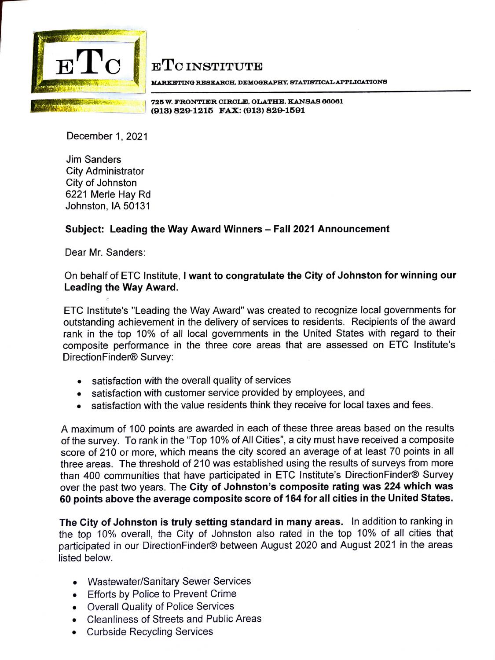

## ETC INSTITUTE

**MARXllJTING RESJIIAROH, DJDMOGRAPHY, STATISTIOALAPPLIOATIONS** 

l **72'5 w. FRONTIER CIRCLE, OLATHE. KANSAS 66061**  ',;\_,, · ,, · =~'-"=---e.\_J **(913) 829-1215 FAX: (913) 829-1591** 

December 1, 2021

Jim Sanders City Administrator City of Johnston 6221 Merle Hay Rd Johnston, IA 50131

## **Subject: Leading the Way Award Winners** - **Fall 2021 Announcement**

Dear Mr. Sanders:

## On behalf of ETC Institute, I **want to congratulate the City of Johnston for winning our Leading the Way Award.**

ETC lnstitute's "Leading the Way Award" was created to recognize local governments for outstanding achievement in the delivery of services to residents. Recipients of the award rank in the top 10% of all local governments in the United States with regard to their composite performance in the three core areas that are assessed on ETC lnstitute's DirectionFinder® Survey:

- satisfaction with the overall quality of services
- satisfaction with customer service provided by employees, and
- satisfaction with the value residents think they receive for local taxes and fees.

A maximum of 100 points are awarded in each of these three areas based on the results of the survey. To rank in the "Top 10% of All Cities", a city must have received a composite score of 210 or more, which means the city scored an average of at least 70 points in all three areas. The threshold of 210 was established using the results of surveys from more than 400 communities that have participated in ETC lnstitute's DirectionFinder® Survey over the past two years. The **City of Johnston's composite rating was 224 which was 60 points above the average composite score of 164 for all cities in the United States.** 

**The City of Johnston is truly setting standard in many areas.** In addition to ranking in the top 10% overall, the City of Johnston also rated in the top 10% of all cities that participated in our DirectionFinder® between August 2020 and August 2021 in the areas listed below.

- Wastewater/Sanitary Sewer Services
- Efforts by Police to Prevent Crime
- Overall Quality of Police Services
- Cleanliness of Streets and Public Areas
- Curbside Recycling Services